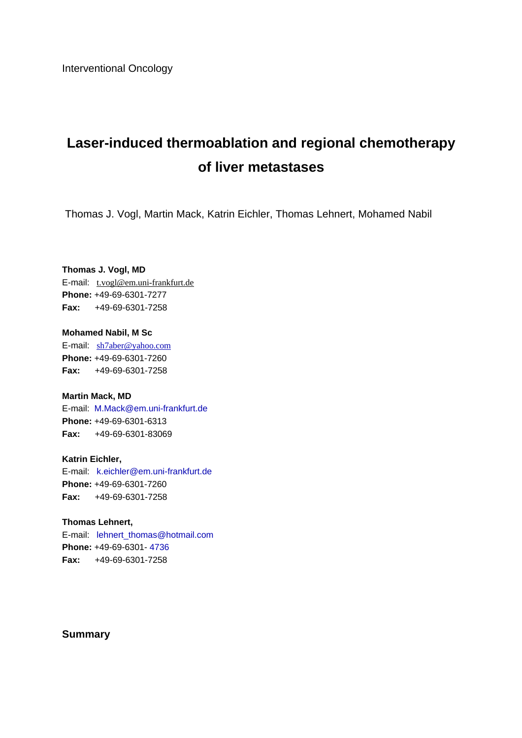Interventional Oncology

# **Laser-induced thermoablation and regional chemotherapy of liver metastases**

Thomas J. Vogl, Martin Mack, Katrin Eichler, Thomas Lehnert, Mohamed Nabil

#### **Thomas J. Vogl, MD**

E-mail:t.vogl@em.uni-frankfurt.de **Phone:** +49-69-6301-7277 **Fax:** +49-69-6301-7258

#### **Mohamed Nabil, M Sc**

E-mail:sh7aber@yahoo.com **Phone:** +49-69-6301-7260 **Fax:** +49-69-6301-7258

#### **Martin Mack, MD**

E-mail:M.Mack@em.uni-frankfurt.de **Phone:** +49-69-6301-6313 **Fax:** +49-69-6301-83069

#### **Katrin Eichler,**

E-mail:k.eichler@em.uni-frankfurt.de **Phone:** +49-69-6301-7260 **Fax:** +49-69-6301-7258

#### **Thomas Lehnert,**

E-mail:lehnert\_thomas@hotmail.com **Phone:** +49-69-6301- 4736 **Fax:** +49-69-6301-7258

#### **Summary**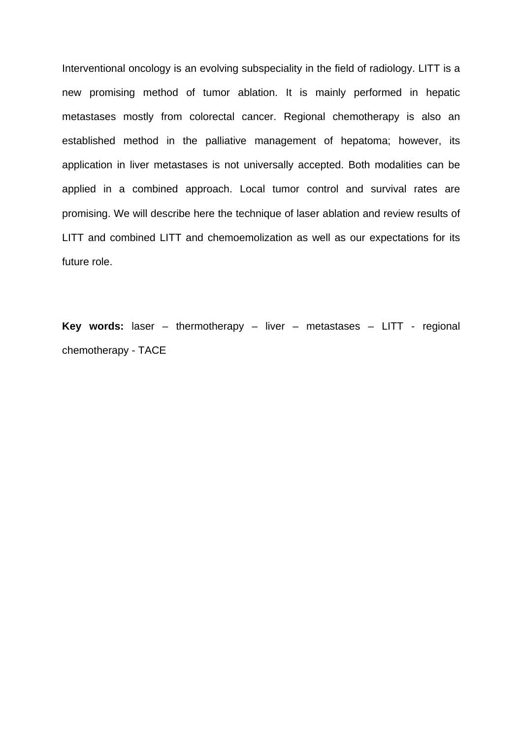Interventional oncology is an evolving subspeciality in the field of radiology. LITT is a new promising method of tumor ablation. It is mainly performed in hepatic metastases mostly from colorectal cancer. Regional chemotherapy is also an established method in the palliative management of hepatoma; however, its application in liver metastases is not universally accepted. Both modalities can be applied in a combined approach. Local tumor control and survival rates are promising. We will describe here the technique of laser ablation and review results of LITT and combined LITT and chemoemolization as well as our expectations for its future role.

**Key words:** laser – thermotherapy – liver – metastases – LITT - regional chemotherapy - TACE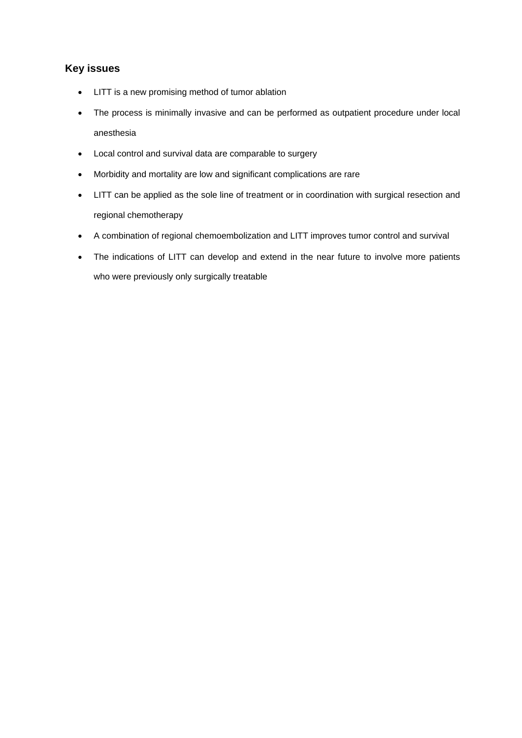### **Key issues**

- LITT is a new promising method of tumor ablation
- The process is minimally invasive and can be performed as outpatient procedure under local anesthesia
- Local control and survival data are comparable to surgery
- Morbidity and mortality are low and significant complications are rare
- LITT can be applied as the sole line of treatment or in coordination with surgical resection and regional chemotherapy
- A combination of regional chemoembolization and LITT improves tumor control and survival
- The indications of LITT can develop and extend in the near future to involve more patients who were previously only surgically treatable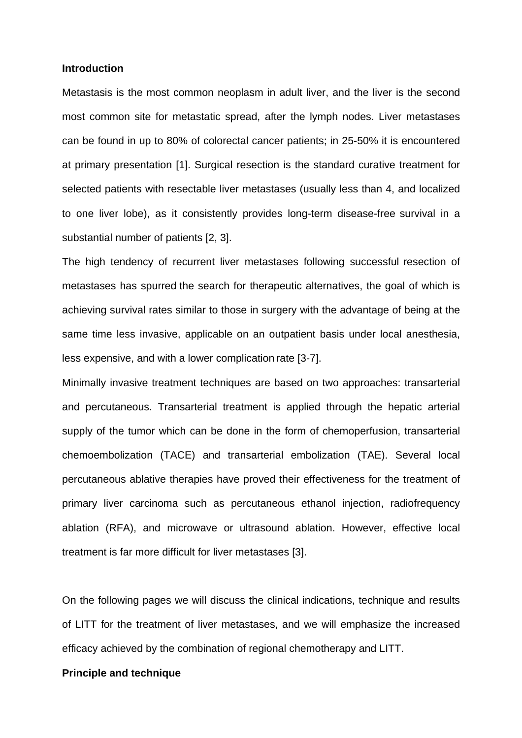#### **Introduction**

Metastasis is the most common neoplasm in adult liver, and the liver is the second most common site for metastatic spread, after the lymph nodes. Liver metastases can be found in up to 80% of colorectal cancer patients; in 25-50% it is encountered at primary presentation [1]. Surgical resection is the standard curative treatment for selected patients with resectable liver metastases (usually less than 4, and localized to one liver lobe), as it consistently provides long-term disease-free survival in a substantial number of patients [2, 3].

The high tendency of recurrent liver metastases following successful resection of metastases has spurred the search for therapeutic alternatives, the goal of which is achieving survival rates similar to those in surgery with the advantage of being at the same time less invasive, applicable on an outpatient basis under local anesthesia, less expensive, and with a lower complication rate [3-7].

Minimally invasive treatment techniques are based on two approaches: transarterial and percutaneous. Transarterial treatment is applied through the hepatic arterial supply of the tumor which can be done in the form of chemoperfusion, transarterial chemoembolization (TACE) and transarterial embolization (TAE). Several local percutaneous ablative therapies have proved their effectiveness for the treatment of primary liver carcinoma such as percutaneous ethanol injection, radiofrequency ablation (RFA), and microwave or ultrasound ablation. However, effective local treatment is far more difficult for liver metastases [3].

On the following pages we will discuss the clinical indications, technique and results of LITT for the treatment of liver metastases, and we will emphasize the increased efficacy achieved by the combination of regional chemotherapy and LITT.

#### **Principle and technique**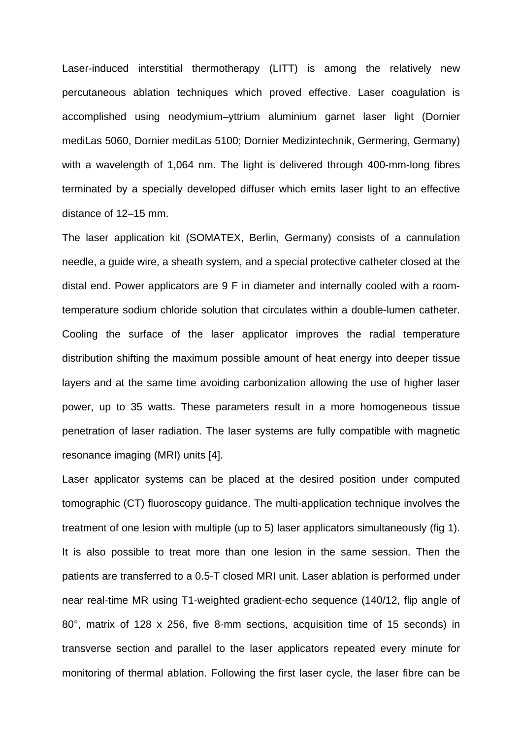Laser-induced interstitial thermotherapy (LITT) is among the relatively new percutaneous ablation techniques which proved effective. Laser coagulation is accomplished using neodymium–yttrium aluminium garnet laser light (Dornier mediLas 5060, Dornier mediLas 5100; Dornier Medizintechnik, Germering, Germany) with a wavelength of 1,064 nm. The light is delivered through 400-mm-long fibres terminated by a specially developed diffuser which emits laser light to an effective distance of 12–15 mm.

The laser application kit (SOMATEX, Berlin, Germany) consists of a cannulation needle, a guide wire, a sheath system, and a special protective catheter closed at the distal end. Power applicators are 9 F in diameter and internally cooled with a roomtemperature sodium chloride solution that circulates within a double-lumen catheter. Cooling the surface of the laser applicator improves the radial temperature distribution shifting the maximum possible amount of heat energy into deeper tissue layers and at the same time avoiding carbonization allowing the use of higher laser power, up to 35 watts. These parameters result in a more homogeneous tissue penetration of laser radiation. The laser systems are fully compatible with magnetic resonance imaging (MRI) units [4].

Laser applicator systems can be placed at the desired position under computed tomographic (CT) fluoroscopy guidance. The multi-application technique involves the treatment of one lesion with multiple (up to 5) laser applicators simultaneously (fig 1). It is also possible to treat more than one lesion in the same session. Then the patients are transferred to a 0.5-T closed MRI unit. Laser ablation is performed under near real-time MR using T1-weighted gradient-echo sequence (140/12, flip angle of 80°, matrix of 128 x 256, five 8-mm sections, acquisition time of 15 seconds) in transverse section and parallel to the laser applicators repeated every minute for monitoring of thermal ablation. Following the first laser cycle, the laser fibre can be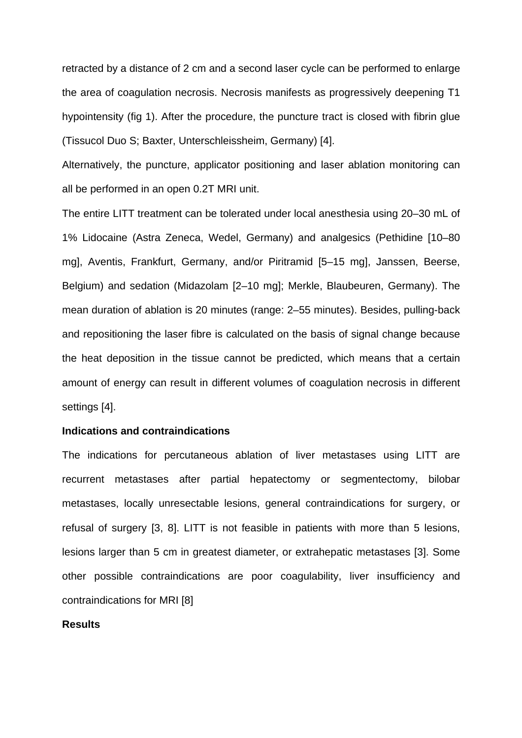retracted by a distance of 2 cm and a second laser cycle can be performed to enlarge the area of coagulation necrosis. Necrosis manifests as progressively deepening T1 hypointensity (fig 1). After the procedure, the puncture tract is closed with fibrin glue (Tissucol Duo S; Baxter, Unterschleissheim, Germany) [4].

Alternatively, the puncture, applicator positioning and laser ablation monitoring can all be performed in an open 0.2T MRI unit.

The entire LITT treatment can be tolerated under local anesthesia using 20–30 mL of 1% Lidocaine (Astra Zeneca, Wedel, Germany) and analgesics (Pethidine [10–80 mg], Aventis, Frankfurt, Germany, and/or Piritramid [5–15 mg], Janssen, Beerse, Belgium) and sedation (Midazolam [2–10 mg]; Merkle, Blaubeuren, Germany). The mean duration of ablation is 20 minutes (range: 2–55 minutes). Besides, pulling-back and repositioning the laser fibre is calculated on the basis of signal change because the heat deposition in the tissue cannot be predicted, which means that a certain amount of energy can result in different volumes of coagulation necrosis in different settings [4].

#### **Indications and contraindications**

The indications for percutaneous ablation of liver metastases using LITT are recurrent metastases after partial hepatectomy or segmentectomy, bilobar metastases, locally unresectable lesions, general contraindications for surgery, or refusal of surgery [3, 8]. LITT is not feasible in patients with more than 5 lesions, lesions larger than 5 cm in greatest diameter, or extrahepatic metastases [3]. Some other possible contraindications are poor coagulability, liver insufficiency and contraindications for MRI [8]

#### **Results**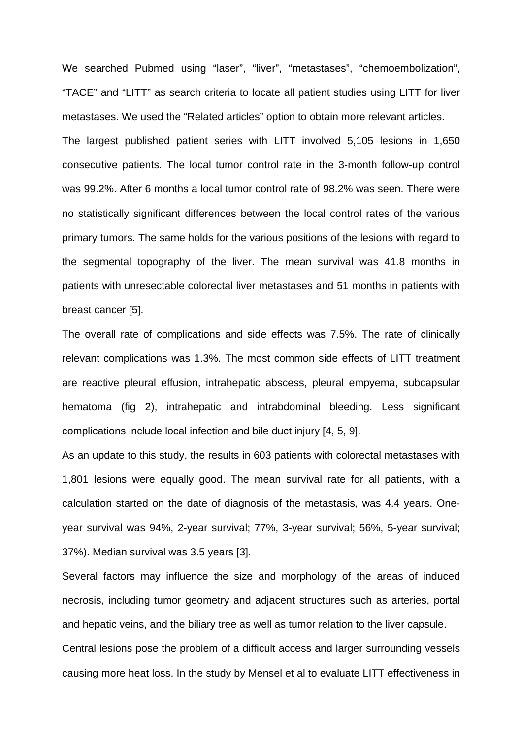We searched Pubmed using "laser", "liver", "metastases", "chemoembolization", "TACE" and "LITT" as search criteria to locate all patient studies using LITT for liver metastases. We used the "Related articles" option to obtain more relevant articles. The largest published patient series with LITT involved 5,105 lesions in 1,650 consecutive patients. The local tumor control rate in the 3-month follow-up control was 99.2%. After 6 months a local tumor control rate of 98.2% was seen. There were no statistically significant differences between the local control rates of the various primary tumors. The same holds for the various positions of the lesions with regard to the segmental topography of the liver. The mean survival was 41.8 months in patients with unresectable colorectal liver metastases and 51 months in patients with breast cancer [5].

The overall rate of complications and side effects was 7.5%. The rate of clinically relevant complications was 1.3%. The most common side effects of LITT treatment are reactive pleural effusion, intrahepatic abscess, pleural empyema, subcapsular hematoma (fig 2), intrahepatic and intrabdominal bleeding. Less significant complications include local infection and bile duct injury [4, 5, 9].

As an update to this study, the results in 603 patients with colorectal metastases with 1,801 lesions were equally good. The mean survival rate for all patients, with a calculation started on the date of diagnosis of the metastasis, was 4.4 years. Oneyear survival was 94%, 2-year survival; 77%, 3-year survival; 56%, 5-year survival; 37%). Median survival was 3.5 years [3].

Several factors may influence the size and morphology of the areas of induced necrosis, including tumor geometry and adjacent structures such as arteries, portal and hepatic veins, and the biliary tree as well as tumor relation to the liver capsule. Central lesions pose the problem of a difficult access and larger surrounding vessels

causing more heat loss. In the study by Mensel et al to evaluate LITT effectiveness in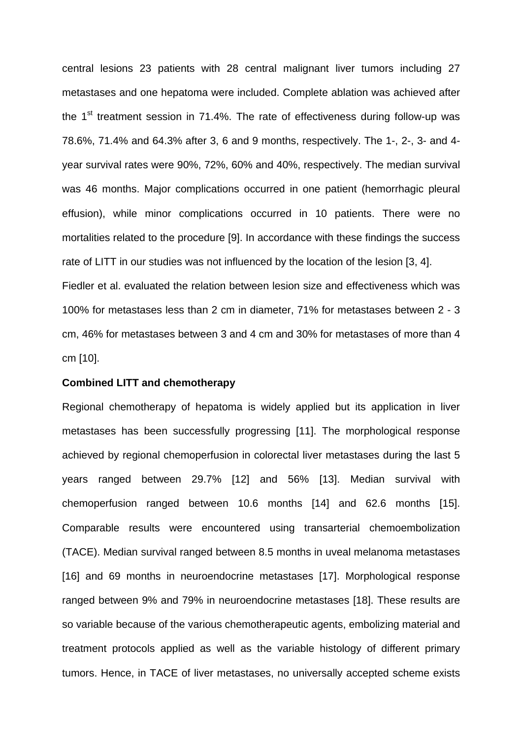central lesions 23 patients with 28 central malignant liver tumors including 27 metastases and one hepatoma were included. Complete ablation was achieved after the  $1<sup>st</sup>$  treatment session in 71.4%. The rate of effectiveness during follow-up was 78.6%, 71.4% and 64.3% after 3, 6 and 9 months, respectively. The 1-, 2-, 3- and 4 year survival rates were 90%, 72%, 60% and 40%, respectively. The median survival was 46 months. Major complications occurred in one patient (hemorrhagic pleural effusion), while minor complications occurred in 10 patients. There were no mortalities related to the procedure [9]. In accordance with these findings the success rate of LITT in our studies was not influenced by the location of the lesion [3, 4]. Fiedler et al. evaluated the relation between lesion size and effectiveness which was 100% for metastases less than 2 cm in diameter, 71% for metastases between 2 - 3 cm, 46% for metastases between 3 and 4 cm and 30% for metastases of more than 4 cm [10].

## **Combined LITT and chemotherapy**

Regional chemotherapy of hepatoma is widely applied but its application in liver metastases has been successfully progressing [11]. The morphological response achieved by regional chemoperfusion in colorectal liver metastases during the last 5 years ranged between 29.7% [12] and 56% [13]. Median survival with chemoperfusion ranged between 10.6 months [14] and 62.6 months [15]. Comparable results were encountered using transarterial chemoembolization (TACE). Median survival ranged between 8.5 months in uveal melanoma metastases [16] and 69 months in neuroendocrine metastases [17]. Morphological response ranged between 9% and 79% in neuroendocrine metastases [18]. These results are so variable because of the various chemotherapeutic agents, embolizing material and treatment protocols applied as well as the variable histology of different primary tumors. Hence, in TACE of liver metastases, no universally accepted scheme exists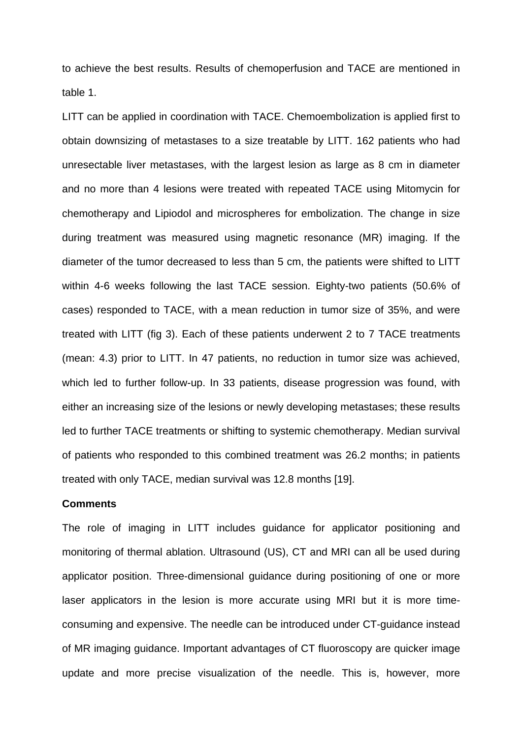to achieve the best results. Results of chemoperfusion and TACE are mentioned in table 1.

LITT can be applied in coordination with TACE. Chemoembolization is applied first to obtain downsizing of metastases to a size treatable by LITT. 162 patients who had unresectable liver metastases, with the largest lesion as large as 8 cm in diameter and no more than 4 lesions were treated with repeated TACE using Mitomycin for chemotherapy and Lipiodol and microspheres for embolization. The change in size during treatment was measured using magnetic resonance (MR) imaging. If the diameter of the tumor decreased to less than 5 cm, the patients were shifted to LITT within 4-6 weeks following the last TACE session. Eighty-two patients (50.6% of cases) responded to TACE, with a mean reduction in tumor size of 35%, and were treated with LITT (fig 3). Each of these patients underwent 2 to 7 TACE treatments (mean: 4.3) prior to LITT. In 47 patients, no reduction in tumor size was achieved, which led to further follow-up. In 33 patients, disease progression was found, with either an increasing size of the lesions or newly developing metastases; these results led to further TACE treatments or shifting to systemic chemotherapy. Median survival of patients who responded to this combined treatment was 26.2 months; in patients treated with only TACE, median survival was 12.8 months [19].

#### **Comments**

The role of imaging in LITT includes guidance for applicator positioning and monitoring of thermal ablation. Ultrasound (US), CT and MRI can all be used during applicator position. Three-dimensional guidance during positioning of one or more laser applicators in the lesion is more accurate using MRI but it is more timeconsuming and expensive. The needle can be introduced under CT-guidance instead of MR imaging guidance. Important advantages of CT fluoroscopy are quicker image update and more precise visualization of the needle. This is, however, more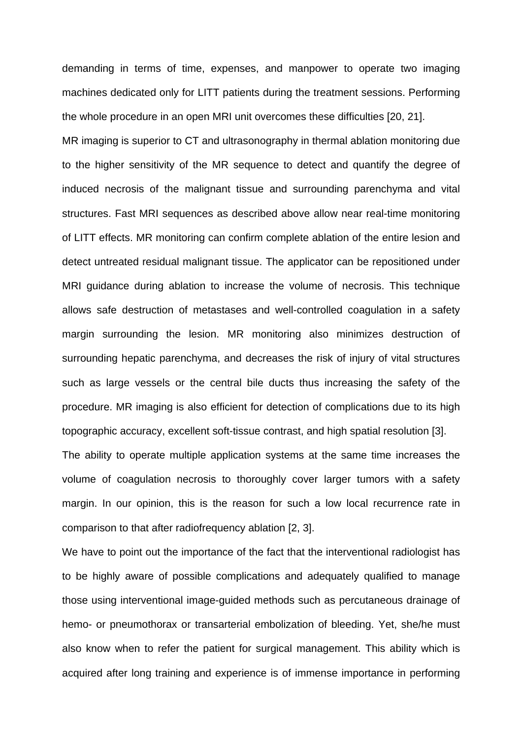demanding in terms of time, expenses, and manpower to operate two imaging machines dedicated only for LITT patients during the treatment sessions. Performing the whole procedure in an open MRI unit overcomes these difficulties [20, 21]. MR imaging is superior to CT and ultrasonography in thermal ablation monitoring due to the higher sensitivity of the MR sequence to detect and quantify the degree of induced necrosis of the malignant tissue and surrounding parenchyma and vital structures. Fast MRI sequences as described above allow near real-time monitoring of LITT effects. MR monitoring can confirm complete ablation of the entire lesion and detect untreated residual malignant tissue. The applicator can be repositioned under MRI guidance during ablation to increase the volume of necrosis. This technique allows safe destruction of metastases and well-controlled coagulation in a safety margin surrounding the lesion. MR monitoring also minimizes destruction of surrounding hepatic parenchyma, and decreases the risk of injury of vital structures such as large vessels or the central bile ducts thus increasing the safety of the procedure. MR imaging is also efficient for detection of complications due to its high topographic accuracy, excellent soft-tissue contrast, and high spatial resolution [3]. The ability to operate multiple application systems at the same time increases the volume of coagulation necrosis to thoroughly cover larger tumors with a safety margin. In our opinion, this is the reason for such a low local recurrence rate in

comparison to that after radiofrequency ablation [2, 3].

We have to point out the importance of the fact that the interventional radiologist has to be highly aware of possible complications and adequately qualified to manage those using interventional image-guided methods such as percutaneous drainage of hemo- or pneumothorax or transarterial embolization of bleeding. Yet, she/he must also know when to refer the patient for surgical management. This ability which is acquired after long training and experience is of immense importance in performing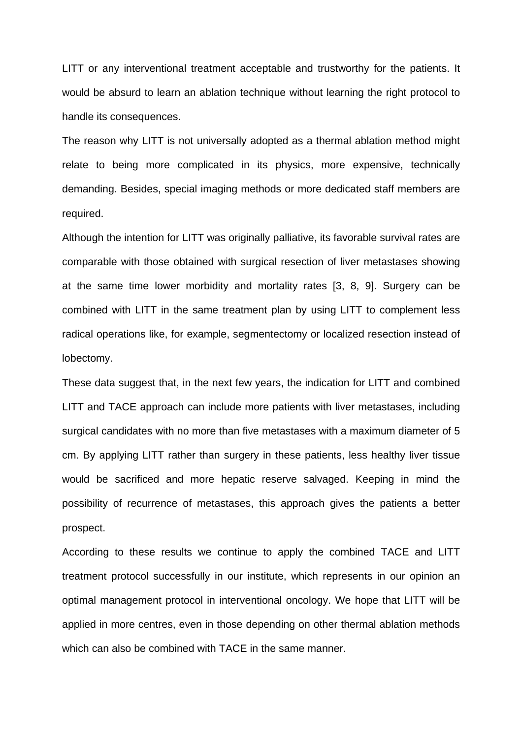LITT or any interventional treatment acceptable and trustworthy for the patients. It would be absurd to learn an ablation technique without learning the right protocol to handle its consequences.

The reason why LITT is not universally adopted as a thermal ablation method might relate to being more complicated in its physics, more expensive, technically demanding. Besides, special imaging methods or more dedicated staff members are required.

Although the intention for LITT was originally palliative, its favorable survival rates are comparable with those obtained with surgical resection of liver metastases showing at the same time lower morbidity and mortality rates [3, 8, 9]. Surgery can be combined with LITT in the same treatment plan by using LITT to complement less radical operations like, for example, segmentectomy or localized resection instead of lobectomy.

These data suggest that, in the next few years, the indication for LITT and combined LITT and TACE approach can include more patients with liver metastases, including surgical candidates with no more than five metastases with a maximum diameter of 5 cm. By applying LITT rather than surgery in these patients, less healthy liver tissue would be sacrificed and more hepatic reserve salvaged. Keeping in mind the possibility of recurrence of metastases, this approach gives the patients a better prospect.

According to these results we continue to apply the combined TACE and LITT treatment protocol successfully in our institute, which represents in our opinion an optimal management protocol in interventional oncology. We hope that LITT will be applied in more centres, even in those depending on other thermal ablation methods which can also be combined with TACE in the same manner.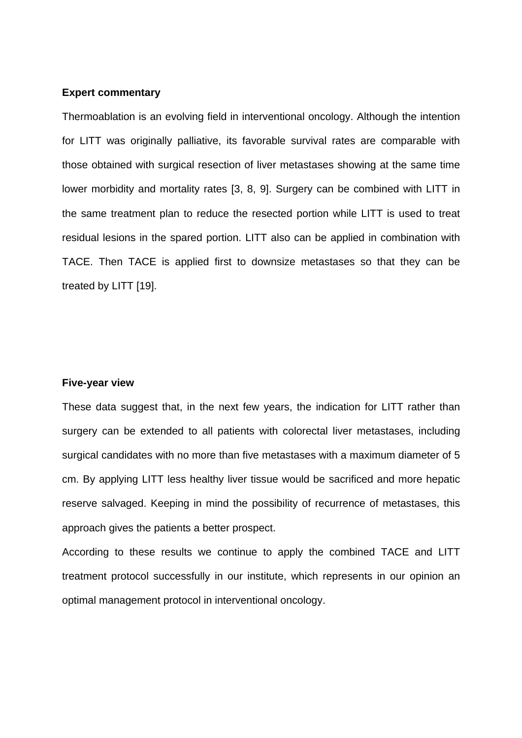#### **Expert commentary**

Thermoablation is an evolving field in interventional oncology. Although the intention for LITT was originally palliative, its favorable survival rates are comparable with those obtained with surgical resection of liver metastases showing at the same time lower morbidity and mortality rates [3, 8, 9]. Surgery can be combined with LITT in the same treatment plan to reduce the resected portion while LITT is used to treat residual lesions in the spared portion. LITT also can be applied in combination with TACE. Then TACE is applied first to downsize metastases so that they can be treated by LITT [19].

#### **Five-year view**

These data suggest that, in the next few years, the indication for LITT rather than surgery can be extended to all patients with colorectal liver metastases, including surgical candidates with no more than five metastases with a maximum diameter of 5 cm. By applying LITT less healthy liver tissue would be sacrificed and more hepatic reserve salvaged. Keeping in mind the possibility of recurrence of metastases, this approach gives the patients a better prospect.

According to these results we continue to apply the combined TACE and LITT treatment protocol successfully in our institute, which represents in our opinion an optimal management protocol in interventional oncology.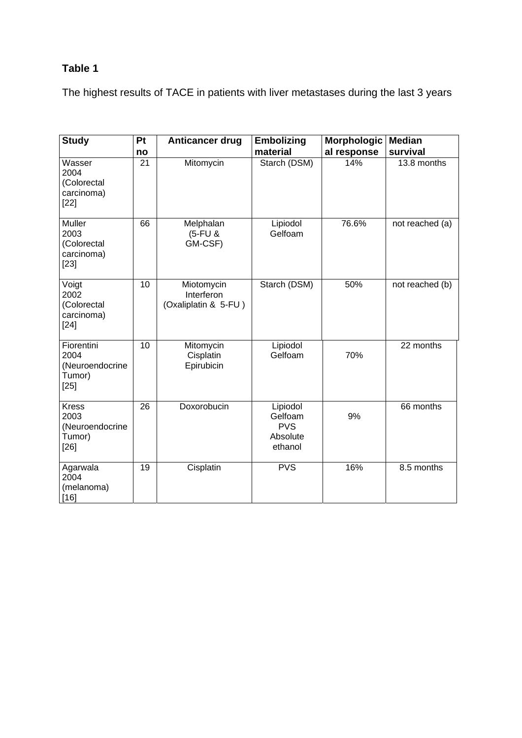# **Table 1**

The highest results of TACE in patients with liver metastases during the last 3 years

| <b>Study</b>                                                | Pt | Anticancer drug                                  | <b>Embolizing</b>                                        | <b>Morphologic</b> | <b>Median</b>   |
|-------------------------------------------------------------|----|--------------------------------------------------|----------------------------------------------------------|--------------------|-----------------|
|                                                             | no |                                                  | material                                                 | al response        | survival        |
| Wasser<br>2004<br>(Colorectal<br>carcinoma)<br>$[22]$       | 21 | Mitomycin                                        | Starch (DSM)                                             | 14%                | 13.8 months     |
| Muller<br>2003<br>(Colorectal<br>carcinoma)<br>$[23]$       | 66 | Melphalan<br>(5-FU &<br>GM-CSF)                  | Lipiodol<br>Gelfoam                                      | 76.6%              | not reached (a) |
| Voigt<br>2002<br>(Colorectal<br>carcinoma)<br>$[24]$        | 10 | Miotomycin<br>Interferon<br>(Oxaliplatin & 5-FU) | Starch (DSM)                                             | 50%                | not reached (b) |
| Fiorentini<br>2004<br>(Neuroendocrine<br>Tumor)<br>$[25]$   | 10 | Mitomycin<br>Cisplatin<br>Epirubicin             | Lipiodol<br>Gelfoam                                      | 70%                | 22 months       |
| <b>Kress</b><br>2003<br>(Neuroendocrine<br>Tumor)<br>$[26]$ | 26 | Doxorobucin                                      | Lipiodol<br>Gelfoam<br><b>PVS</b><br>Absolute<br>ethanol | 9%                 | 66 months       |
| Agarwala<br>2004<br>(melanoma)<br>[16]                      | 19 | Cisplatin                                        | <b>PVS</b>                                               | 16%                | 8.5 months      |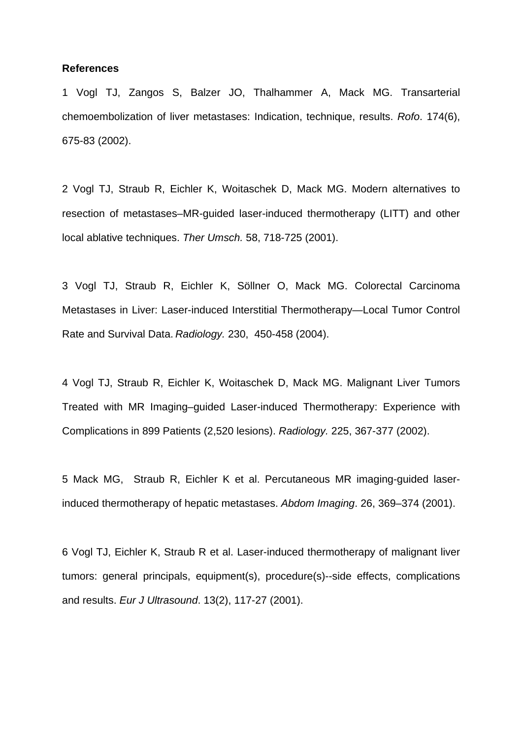#### **References**

1 Vogl TJ, Zangos S, Balzer JO, Thalhammer A, Mack MG. Transarterial chemoembolization of liver metastases: Indication, technique, results. *Rofo*. 174(6), 675-83 (2002).

2 Vogl TJ, Straub R, Eichler K, Woitaschek D, Mack MG. Modern alternatives to resection of metastases–MR-guided laser-induced thermotherapy (LITT) and other local ablative techniques. *Ther Umsch.* 58, 718-725 (2001).

3 Vogl TJ, Straub R, Eichler K, Söllner O, Mack MG. Colorectal Carcinoma Metastases in Liver: Laser-induced Interstitial Thermotherapy—Local Tumor Control Rate and Survival Data. *Radiology.* 230, 450-458 (2004).

4 Vogl TJ, Straub R, Eichler K, Woitaschek D, Mack MG. Malignant Liver Tumors Treated with MR Imaging–guided Laser-induced Thermotherapy: Experience with Complications in 899 Patients (2,520 lesions). *Radiology.* 225, 367-377 (2002).

5 Mack MG, Straub R, Eichler K et al. Percutaneous MR imaging-guided laserinduced thermotherapy of hepatic metastases. *Abdom Imaging*. 26, 369–374 (2001).

6 Vogl TJ, Eichler K, Straub R et al. Laser-induced thermotherapy of malignant liver tumors: general principals, equipment(s), procedure(s)--side effects, complications and results. *Eur J Ultrasound*. 13(2), 117-27 (2001).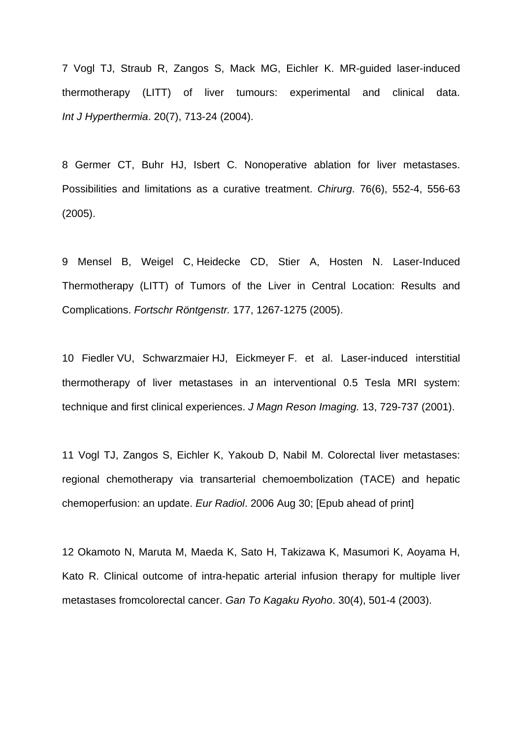7 Vogl TJ, Straub R, Zangos S, Mack MG, Eichler K. MR-guided laser-induced thermotherapy (LITT) of liver tumours: experimental and clinical data. *Int J Hyperthermia*. 20(7), 713-24 (2004).

8 Germer CT, Buhr HJ, Isbert C. Nonoperative ablation for liver metastases. Possibilities and limitations as a curative treatment. *Chirurg*. 76(6), 552-4, 556-63 (2005).

9 Mensel B, Weigel C, Heidecke CD, Stier A, Hosten N. Laser-Induced Thermotherapy (LITT) of Tumors of the Liver in Central Location: Results and Complications. *Fortschr Röntgenstr.* 177, 1267-1275 (2005).

10 Fiedler VU, Schwarzmaier HJ, Eickmeyer F. et al. Laser-induced interstitial thermotherapy of liver metastases in an interventional 0.5 Tesla MRI system: technique and first clinical experiences. *J Magn Reson Imaging.* 13, 729-737 (2001).

11 Vogl TJ, Zangos S, Eichler K, Yakoub D, Nabil M. Colorectal liver metastases: regional chemotherapy via transarterial chemoembolization (TACE) and hepatic chemoperfusion: an update. *Eur Radiol*. 2006 Aug 30; [Epub ahead of print]

12 Okamoto N, Maruta M, Maeda K, Sato H, Takizawa K, Masumori K, Aoyama H, Kato R. Clinical outcome of intra-hepatic arterial infusion therapy for multiple liver metastases fromcolorectal cancer. *Gan To Kagaku Ryoho*. 30(4), 501-4 (2003).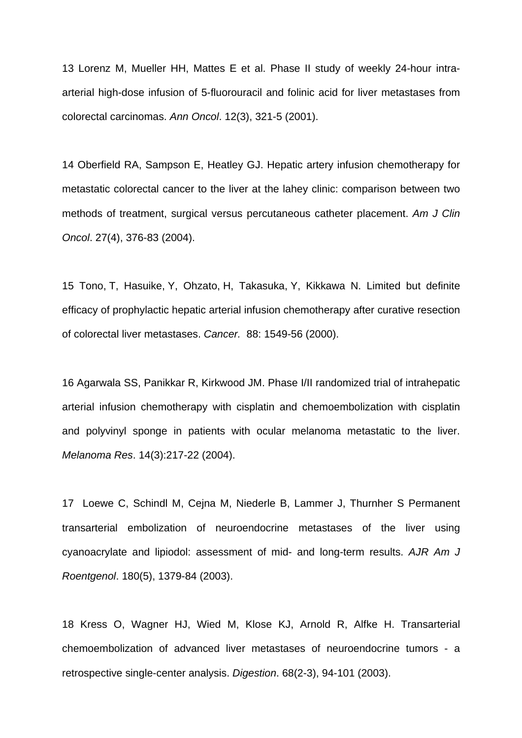13 Lorenz M, Mueller HH, Mattes E et al. Phase II study of weekly 24-hour intraarterial high-dose infusion of 5-fluorouracil and folinic acid for liver metastases from colorectal carcinomas. *Ann Oncol*. 12(3), 321-5 (2001).

14 Oberfield RA, Sampson E, Heatley GJ. Hepatic artery infusion chemotherapy for metastatic colorectal cancer to the liver at the lahey clinic: comparison between two methods of treatment, surgical versus percutaneous catheter placement. *Am J Clin Oncol*. 27(4), 376-83 (2004).

15 Tono, T, Hasuike, Y, Ohzato, H, Takasuka, Y, Kikkawa N. Limited but definite efficacy of prophylactic hepatic arterial infusion chemotherapy after curative resection of colorectal liver metastases. *Cancer.* 88: 1549-56 (2000).

16 Agarwala SS, Panikkar R, Kirkwood JM. Phase I/II randomized trial of intrahepatic arterial infusion chemotherapy with cisplatin and chemoembolization with cisplatin and polyvinyl sponge in patients with ocular melanoma metastatic to the liver. *Melanoma Res*. 14(3):217-22 (2004).

17 Loewe C, Schindl M, Cejna M, Niederle B, Lammer J, Thurnher S Permanent transarterial embolization of neuroendocrine metastases of the liver using cyanoacrylate and lipiodol: assessment of mid- and long-term results. *AJR Am J Roentgenol*. 180(5), 1379-84 (2003).

18 Kress O, Wagner HJ, Wied M, Klose KJ, Arnold R, Alfke H. Transarterial chemoembolization of advanced liver metastases of neuroendocrine tumors - a retrospective single-center analysis. *Digestion*. 68(2-3), 94-101 (2003).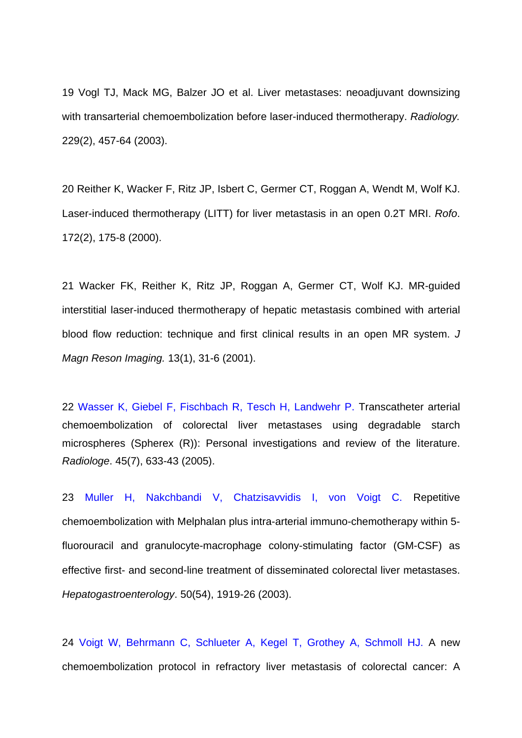19 Vogl TJ, Mack MG, Balzer JO et al. Liver metastases: neoadjuvant downsizing with transarterial chemoembolization before laser-induced thermotherapy. *Radiology.* 229(2), 457-64 (2003).

20 Reither K, Wacker F, Ritz JP, Isbert C, Germer CT, Roggan A, Wendt M, Wolf KJ. Laser-induced thermotherapy (LITT) for liver metastasis in an open 0.2T MRI. *Rofo*. 172(2), 175-8 (2000).

21 Wacker FK, Reither K, Ritz JP, Roggan A, Germer CT, Wolf KJ. MR-guided interstitial laser-induced thermotherapy of hepatic metastasis combined with arterial blood flow reduction: technique and first clinical results in an open MR system. *J Magn Reson Imaging.* 13(1), 31-6 (2001).

22 Wasser K, Giebel F, Fischbach R, Tesch H, Landwehr P. Transcatheter arterial chemoembolization of colorectal liver metastases using degradable starch microspheres (Spherex (R)): Personal investigations and review of the literature. *Radiologe*. 45(7), 633-43 (2005).

23 Muller H, Nakchbandi V, Chatzisavvidis I, von Voigt C. Repetitive chemoembolization with Melphalan plus intra-arterial immuno-chemotherapy within 5 fluorouracil and granulocyte-macrophage colony-stimulating factor (GM-CSF) as effective first- and second-line treatment of disseminated colorectal liver metastases. *Hepatogastroenterology*. 50(54), 1919-26 (2003).

24 Voigt W, Behrmann C, Schlueter A, Kegel T, Grothey A, Schmoll HJ. A new chemoembolization protocol in refractory liver metastasis of colorectal cancer: A